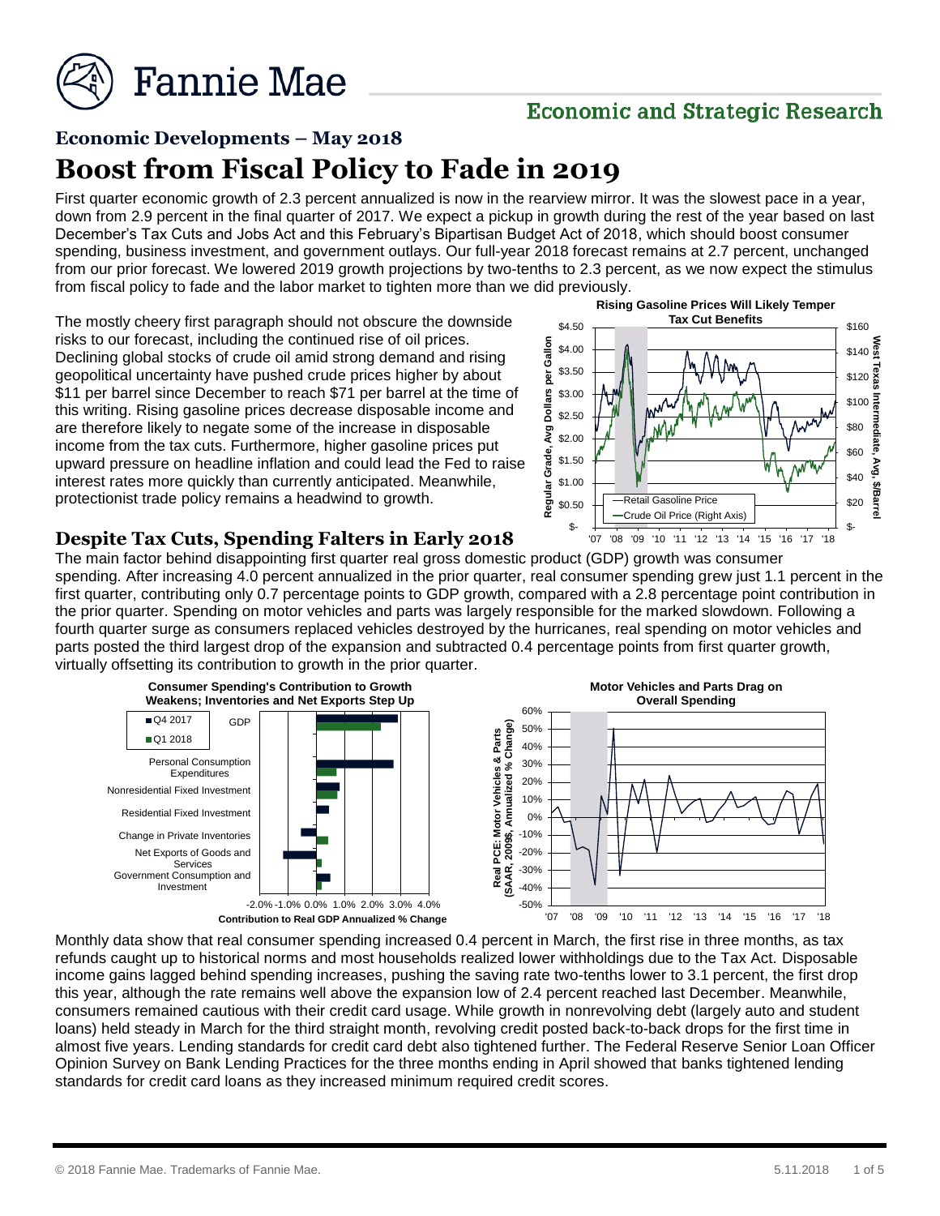

# **Economic and Strategic Research**

# **Economic Developments – May 2018**

# **Boost from Fiscal Policy to Fade in 2019**

First quarter economic growth of 2.3 percent annualized is now in the rearview mirror. It was the slowest pace in a year, down from 2.9 percent in the final quarter of 2017. We expect a pickup in growth during the rest of the year based on last December's Tax Cuts and Jobs Act and this February's Bipartisan Budget Act of 2018, which should boost consumer spending, business investment, and government outlays. Our full-year 2018 forecast remains at 2.7 percent, unchanged from our prior forecast. We lowered 2019 growth projections by two-tenths to 2.3 percent, as we now expect the stimulus from fiscal policy to fade and the labor market to tighten more than we did previously.

The mostly cheery first paragraph should not obscure the downside risks to our forecast, including the continued rise of oil prices. Declining global stocks of crude oil amid strong demand and rising geopolitical uncertainty have pushed crude prices higher by about \$11 per barrel since December to reach \$71 per barrel at the time of this writing. Rising gasoline prices decrease disposable income and are therefore likely to negate some of the increase in disposable income from the tax cuts. Furthermore, higher gasoline prices put upward pressure on headline inflation and could lead the Fed to raise interest rates more quickly than currently anticipated. Meanwhile, protectionist trade policy remains a headwind to growth.



## **Despite Tax Cuts, Spending Falters in Early 2018**

The main factor behind disappointing first quarter real gross domestic product (GDP) growth was consumer spending. After increasing 4.0 percent annualized in the prior quarter, real consumer spending grew just 1.1 percent in the first quarter, contributing only 0.7 percentage points to GDP growth, compared with a 2.8 percentage point contribution in the prior quarter. Spending on motor vehicles and parts was largely responsible for the marked slowdown. Following a fourth quarter surge as consumers replaced vehicles destroyed by the hurricanes, real spending on motor vehicles and parts posted the third largest drop of the expansion and subtracted 0.4 percentage points from first quarter growth, virtually offsetting its contribution to growth in the prior quarter.



Monthly data show that real consumer spending increased 0.4 percent in March, the first rise in three months, as tax refunds caught up to historical norms and most households realized lower withholdings due to the Tax Act. Disposable income gains lagged behind spending increases, pushing the saving rate two-tenths lower to 3.1 percent, the first drop this year, although the rate remains well above the expansion low of 2.4 percent reached last December. Meanwhile, consumers remained cautious with their credit card usage. While growth in nonrevolving debt (largely auto and student loans) held steady in March for the third straight month, revolving credit posted back-to-back drops for the first time in almost five years. Lending standards for credit card debt also tightened further. The Federal Reserve Senior Loan Officer Opinion Survey on Bank Lending Practices for the three months ending in April showed that banks tightened lending standards for credit card loans as they increased minimum required credit scores.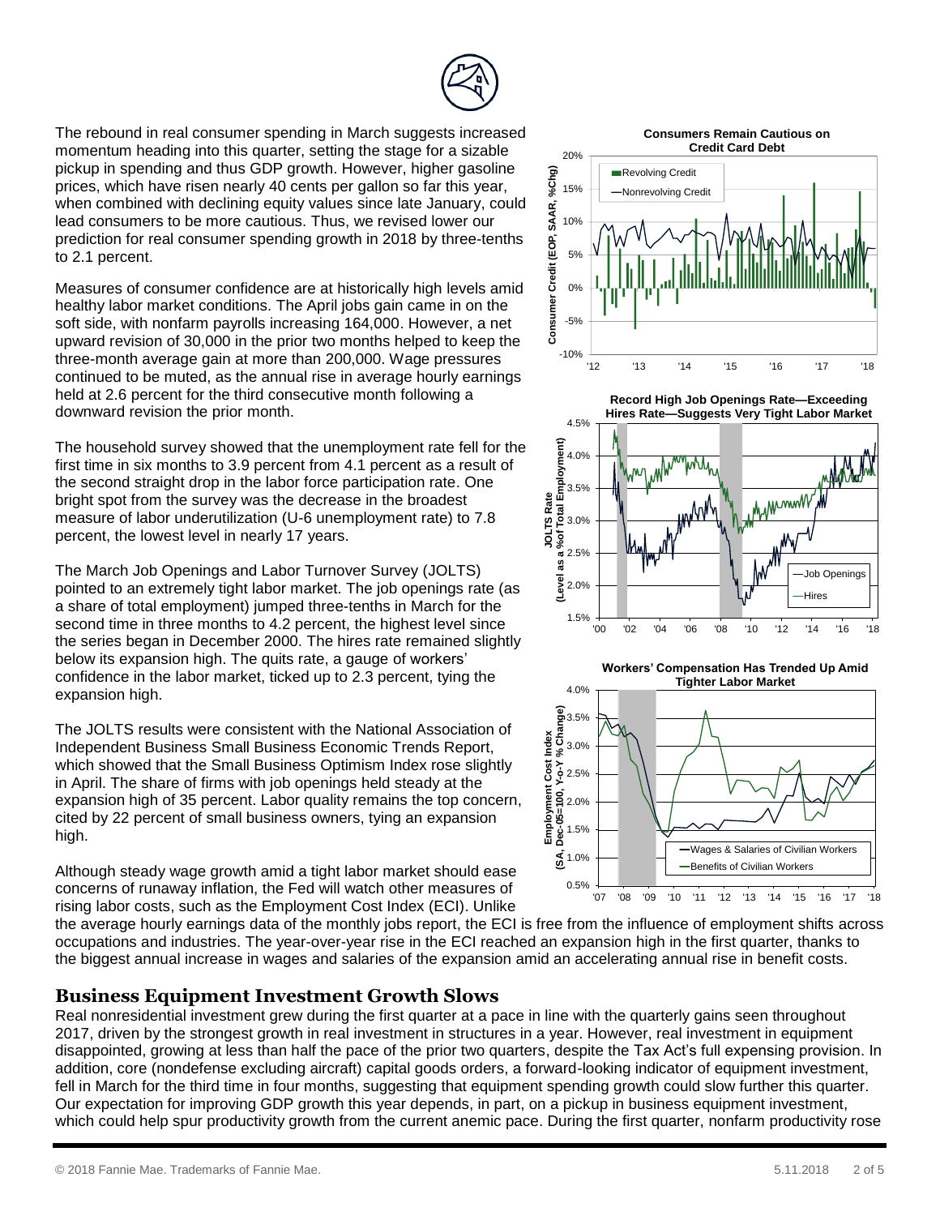The rebound in real consumer spending in March suggests increased momentum heading into this quarter, setting the stage for a sizable pickup in spending and thus GDP growth. However, higher gasoline prices, which have risen nearly 40 cents per gallon so far this year, when combined with declining equity values since late January, could lead consumers to be more cautious. Thus, we revised lower our prediction for real consumer spending growth in 2018 by three-tenths to 2.1 percent.

Measures of consumer confidence are at historically high levels amid healthy labor market conditions. The April jobs gain came in on the soft side, with nonfarm payrolls increasing 164,000. However, a net upward revision of 30,000 in the prior two months helped to keep the three-month average gain at more than 200,000. Wage pressures continued to be muted, as the annual rise in average hourly earnings held at 2.6 percent for the third consecutive month following a downward revision the prior month.

The household survey showed that the unemployment rate fell for the first time in six months to 3.9 percent from 4.1 percent as a result of the second straight drop in the labor force participation rate. One bright spot from the survey was the decrease in the broadest measure of labor underutilization (U-6 unemployment rate) to 7.8 percent, the lowest level in nearly 17 years.

The March Job Openings and Labor Turnover Survey (JOLTS) pointed to an extremely tight labor market. The job openings rate (as a share of total employment) jumped three-tenths in March for the second time in three months to 4.2 percent, the highest level since the series began in December 2000. The hires rate remained slightly below its expansion high. The quits rate, a gauge of workers' confidence in the labor market, ticked up to 2.3 percent, tying the expansion high.

The JOLTS results were consistent with the National Association of Independent Business Small Business Economic Trends Report, which showed that the Small Business Optimism Index rose slightly in April. The share of firms with job openings held steady at the expansion high of 35 percent. Labor quality remains the top concern, cited by 22 percent of small business owners, tying an expansion high.

Although steady wage growth amid a tight labor market should ease concerns of runaway inflation, the Fed will watch other measures of rising labor costs, such as the Employment Cost Index (ECI). Unlike

**Consumers Remain Cautious on** 





**Workers' Compensation Has Trended Up Amid Tighter Labor Market**



the average hourly earnings data of the monthly jobs report, the ECI is free from the influence of employment shifts across occupations and industries. The year-over-year rise in the ECI reached an expansion high in the first quarter, thanks to the biggest annual increase in wages and salaries of the expansion amid an accelerating annual rise in benefit costs.

## **Business Equipment Investment Growth Slows**

Real nonresidential investment grew during the first quarter at a pace in line with the quarterly gains seen throughout 2017, driven by the strongest growth in real investment in structures in a year. However, real investment in equipment disappointed, growing at less than half the pace of the prior two quarters, despite the Tax Act's full expensing provision. In addition, core (nondefense excluding aircraft) capital goods orders, a forward-looking indicator of equipment investment, fell in March for the third time in four months, suggesting that equipment spending growth could slow further this quarter. Our expectation for improving GDP growth this year depends, in part, on a pickup in business equipment investment, which could help spur productivity growth from the current anemic pace. During the first quarter, nonfarm productivity rose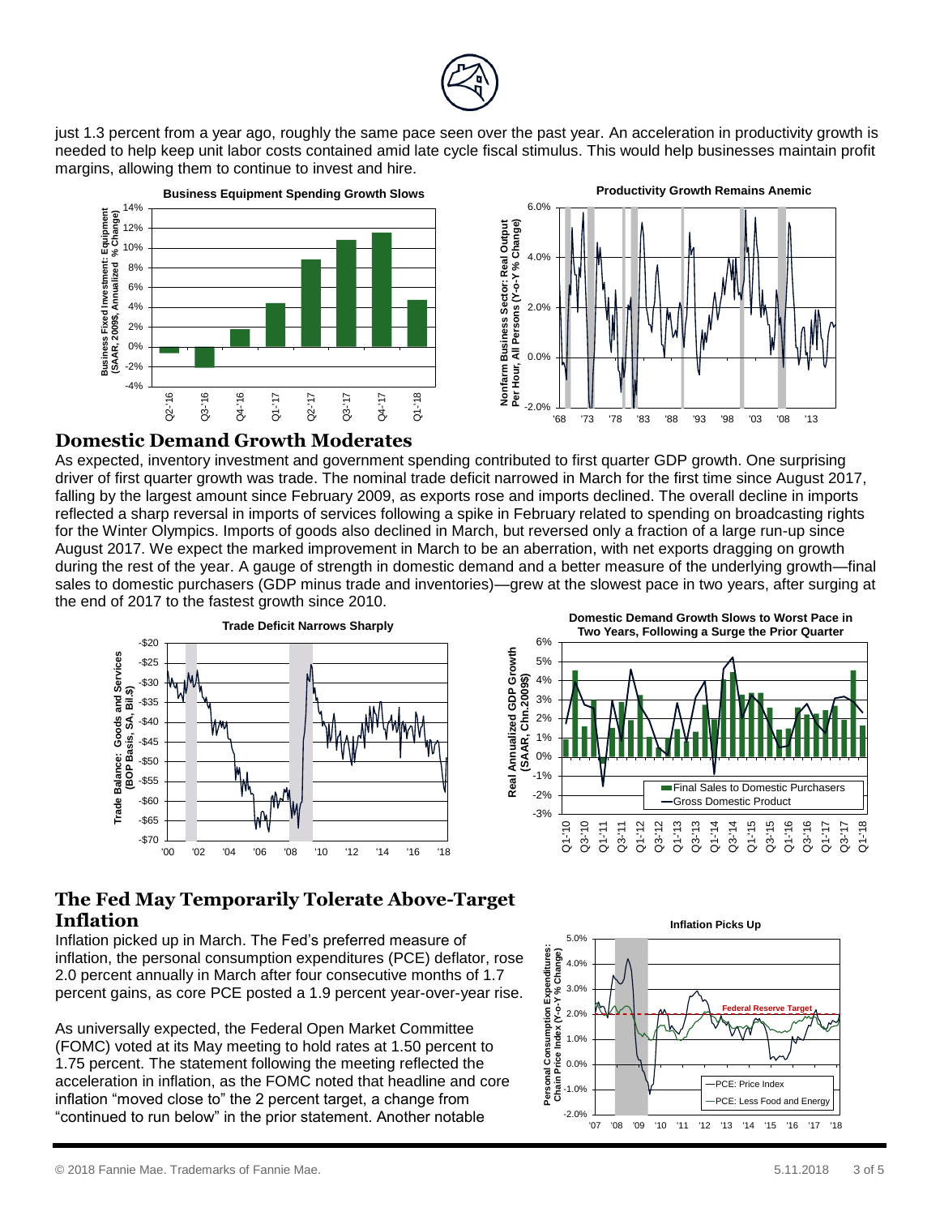

just 1.3 percent from a year ago, roughly the same pace seen over the past year. An acceleration in productivity growth is needed to help keep unit labor costs contained amid late cycle fiscal stimulus. This would help businesses maintain profit margins, allowing them to continue to invest and hire.





#### **Domestic Demand Growth Moderates**

As expected, inventory investment and government spending contributed to first quarter GDP growth. One surprising driver of first quarter growth was trade. The nominal trade deficit narrowed in March for the first time since August 2017, falling by the largest amount since February 2009, as exports rose and imports declined. The overall decline in imports reflected a sharp reversal in imports of services following a spike in February related to spending on broadcasting rights for the Winter Olympics. Imports of goods also declined in March, but reversed only a fraction of a large run-up since August 2017. We expect the marked improvement in March to be an aberration, with net exports dragging on growth during the rest of the year. A gauge of strength in domestic demand and a better measure of the underlying growth—final sales to domestic purchasers (GDP minus trade and inventories)—grew at the slowest pace in two years, after surging at the end of 2017 to the fastest growth since 2010.





# **The Fed May Temporarily Tolerate Above-Target Inflation**

Inflation picked up in March. The Fed's preferred measure of inflation, the personal consumption expenditures (PCE) deflator, rose 2.0 percent annually in March after four consecutive months of 1.7 percent gains, as core PCE posted a 1.9 percent year-over-year rise.

As universally expected, the Federal Open Market Committee (FOMC) voted at its May meeting to hold rates at 1.50 percent to 1.75 percent. The statement following the meeting reflected the acceleration in inflation, as the FOMC noted that headline and core inflation "moved close to" the 2 percent target, a change from "continued to run below" in the prior statement. Another notable

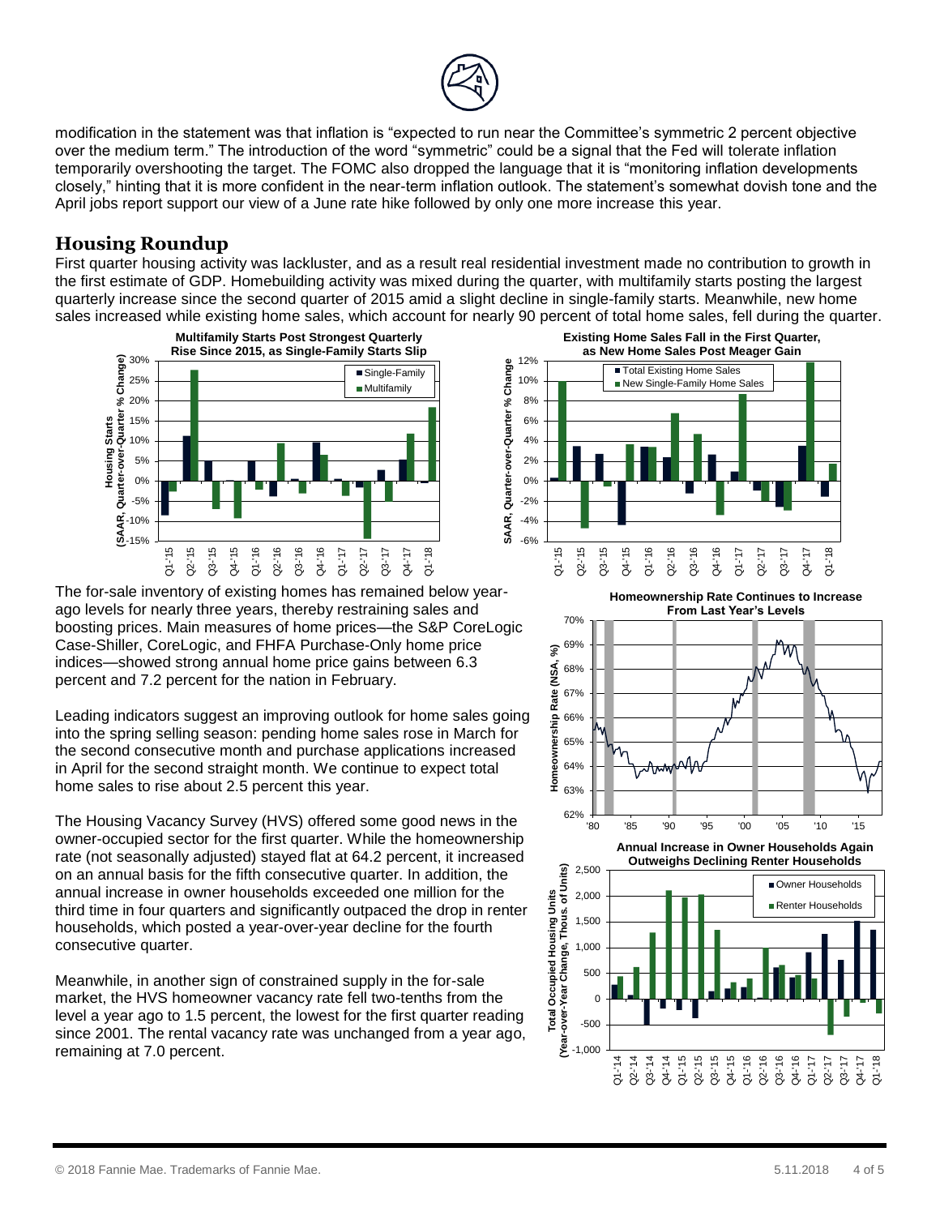

modification in the statement was that inflation is "expected to run near the Committee's symmetric 2 percent objective over the medium term." The introduction of the word "symmetric" could be a signal that the Fed will tolerate inflation temporarily overshooting the target. The FOMC also dropped the language that it is "monitoring inflation developments closely," hinting that it is more confident in the near-term inflation outlook. The statement's somewhat dovish tone and the April jobs report support our view of a June rate hike followed by only one more increase this year.

# **Housing Roundup**

First quarter housing activity was lackluster, and as a result real residential investment made no contribution to growth in the first estimate of GDP. Homebuilding activity was mixed during the quarter, with multifamily starts posting the largest quarterly increase since the second quarter of 2015 amid a slight decline in single-family starts. Meanwhile, new home sales increased while existing home sales, which account for nearly 90 percent of total home sales, fell during the quarter.



The for-sale inventory of existing homes has remained below yearago levels for nearly three years, thereby restraining sales and boosting prices. Main measures of home prices—the S&P CoreLogic Case-Shiller, CoreLogic, and FHFA Purchase-Only home price indices—showed strong annual home price gains between 6.3 percent and 7.2 percent for the nation in February.

Leading indicators suggest an improving outlook for home sales going into the spring selling season: pending home sales rose in March for the second consecutive month and purchase applications increased in April for the second straight month. We continue to expect total home sales to rise about 2.5 percent this year.

The Housing Vacancy Survey (HVS) offered some good news in the owner-occupied sector for the first quarter. While the homeownership rate (not seasonally adjusted) stayed flat at 64.2 percent, it increased on an annual basis for the fifth consecutive quarter. In addition, the annual increase in owner households exceeded one million for the third time in four quarters and significantly outpaced the drop in renter households, which posted a year-over-year decline for the fourth consecutive quarter.

Meanwhile, in another sign of constrained supply in the for-sale market, the HVS homeowner vacancy rate fell two-tenths from the level a year ago to 1.5 percent, the lowest for the first quarter reading since 2001. The rental vacancy rate was unchanged from a year ago, remaining at 7.0 percent.